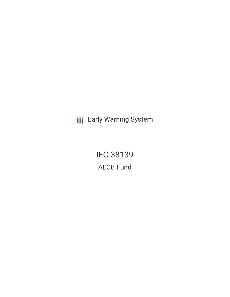**III** Early Warning System

IFC-38139 ALCB Fund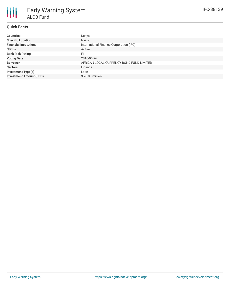## **Quick Facts**

| <b>Countries</b>               | Kenya                                    |
|--------------------------------|------------------------------------------|
| <b>Specific Location</b>       | Nairobi                                  |
| <b>Financial Institutions</b>  | International Finance Corporation (IFC)  |
| <b>Status</b>                  | Active                                   |
| <b>Bank Risk Rating</b>        | FI                                       |
| <b>Voting Date</b>             | 2016-05-26                               |
| <b>Borrower</b>                | AFRICAN LOCAL CURRENCY BOND FUND LIMITED |
| <b>Sectors</b>                 | Finance                                  |
| <b>Investment Type(s)</b>      | Loan                                     |
| <b>Investment Amount (USD)</b> | \$20.00 million                          |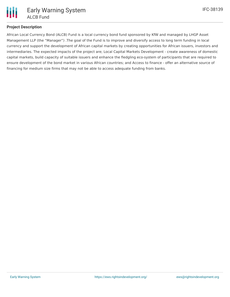# **Project Description**

African Local Currency Bond (ALCB) Fund is a local currency bond fund sponsored by KfW and managed by LHGP Asset Management LLP (the "Manager") .The goal of the Fund is to improve and diversify access to long term funding in local currency and support the development of African capital markets by creating opportunities for African issuers, investors and intermediaries. The expected impacts of the project are; Local Capital Markets Development - create awareness of domestic capital markets, build capacity of suitable issuers and enhance the fledgling eco-system of participants that are required to ensure development of the bond market in various African countries; and Access to finance - offer an alternative source of financing for medium size firms that may not be able to access adequate funding from banks.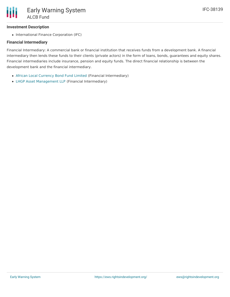### **Investment Description**

• International Finance Corporation (IFC)

### **Financial Intermediary**

Financial Intermediary: A commercial bank or financial institution that receives funds from a development bank. A financial intermediary then lends these funds to their clients (private actors) in the form of loans, bonds, guarantees and equity shares. Financial intermediaries include insurance, pension and equity funds. The direct financial relationship is between the development bank and the financial intermediary.

- African Local [Currency](file:///actor/1137/) Bond Fund Limited (Financial Intermediary)
- LHGP Asset [Management](file:///actor/130/) LLP (Financial Intermediary)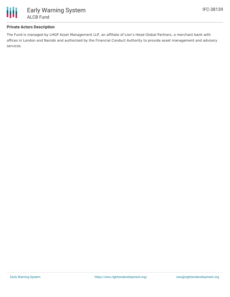

#### **Private Actors Description**

The Fund is managed by LHGP Asset Management LLP, an affiliate of Lion's Head Global Partners, a merchant bank with offices in London and Nairobi and authorized by the Financial Conduct Authority to provide asset management and advisory services.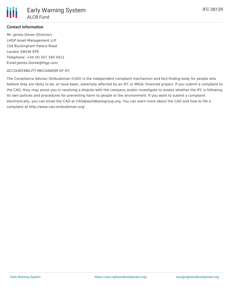#### **Contact Information**

Mr. James Doree (Director) LHGP Asset Management LLP 154 Buckingham Palace Road London SW1W 9TR Telephone: +44 (0) 207 340 0412 Email:James.Doree@lhgp.com

#### ACCOUNTABILITY MECHANISM OF IFC

The Compliance Advisor Ombudsman (CAO) is the independent complaint mechanism and fact-finding body for people who believe they are likely to be, or have been, adversely affected by an IFC or MIGA- financed project. If you submit a complaint to the CAO, they may assist you in resolving a dispute with the company and/or investigate to assess whether the IFC is following its own policies and procedures for preventing harm to people or the environment. If you want to submit a complaint electronically, you can email the CAO at CAO@worldbankgroup.org. You can learn more about the CAO and how to file a complaint at http://www.cao-ombudsman.org/